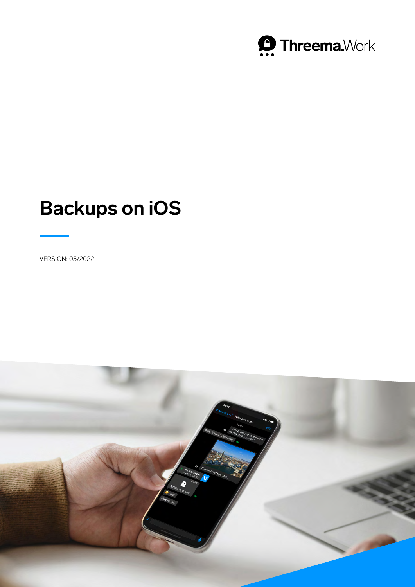

# **Backups on iOS**

VERSION: 05/2022

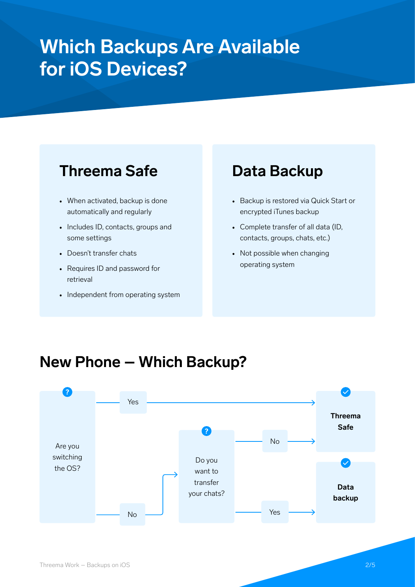## **Which Backups Are Available for iOS Devices?**

### **Threema Safe**

- When activated, backup is done automatically and regularly
- Includes ID, contacts, groups and some settings
- Doesn't transfer chats
- Requires ID and password for retrieval
- Independent from operating system

### **Data Backup**

- Backup is restored via Quick Start or encrypted iTunes backup
- Complete transfer of all data (ID, contacts, groups, chats, etc.)
- Not possible when changing operating system

### **New Phone – Which Backup?**

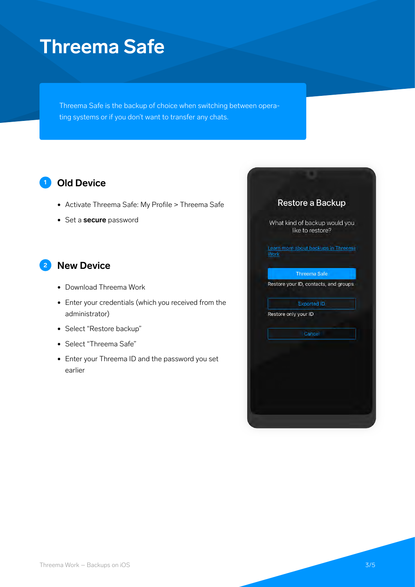## **Threema Safe**

Threema Safe is the backup of choice when switching between operating systems or if you don't want to transfer any chats.

#### **<sup>1</sup> Old Device**

- Activate Threema Safe: My Profile > Threema Safe
- Set a **secure** password

#### **<sup>2</sup> New Device**

- Download Threema Work
- Enter your credentials (which you received from the administrator)
- Select "Restore backup"
- Select "Threema Safe"
- Enter your Threema ID and the password you set earlier

|             | Restore a Backup                                  |
|-------------|---------------------------------------------------|
|             | What kind of backup would you<br>like to restore? |
| <b>Work</b> | Learn more about backups in Threema               |
|             | <b>Threema Safe</b>                               |
|             | Restore your ID, contacts, and groups             |
|             | <b>Exported ID</b>                                |
|             | Restore only your ID                              |
|             | Cancel                                            |
|             |                                                   |
|             |                                                   |
|             |                                                   |
|             |                                                   |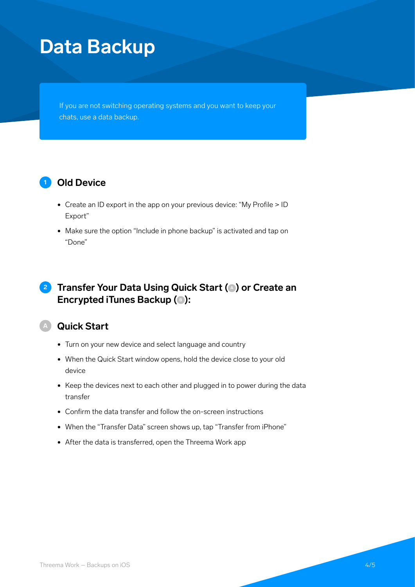## **Data Backup**

If you are not switching operating systems and you want to keep your chats, use a data backup.

#### **<sup>1</sup> Old Device**

- Create an ID export in the app on your previous device: "My Profile > ID Export"
- Make sure the option "Include in phone backup" is activated and tap on "Done"

#### **2 Transfer Your Data Using Quick Start (**  $\bullet$  ) or Create an **Encrypted iTunes Backup (** $\bullet$ **):**

#### **<sup>A</sup> Quick Start**

- Turn on your new device and select language and country
- When the Quick Start window opens, hold the device close to your old device
- Keep the devices next to each other and plugged in to power during the data transfer
- Confirm the data transfer and follow the on-screen instructions
- When the "Transfer Data" screen shows up, tap "Transfer from iPhone"
- After the data is transferred, open the Threema Work app